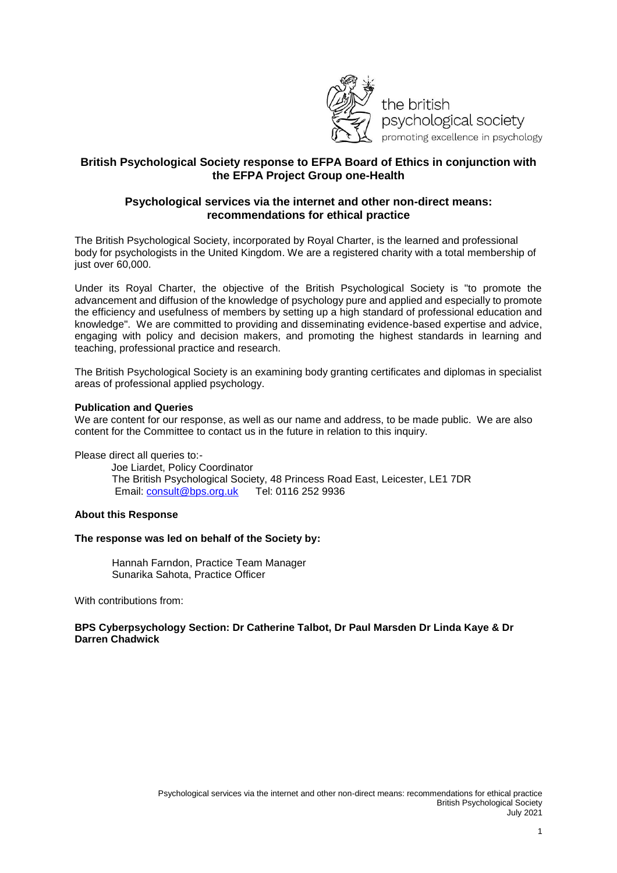

## **British Psychological Society response to EFPA Board of Ethics in conjunction with the EFPA Project Group one-Health**

### **Psychological services via the internet and other non-direct means: recommendations for ethical practice**

The British Psychological Society, incorporated by Royal Charter, is the learned and professional body for psychologists in the United Kingdom. We are a registered charity with a total membership of just over 60,000.

Under its Royal Charter, the objective of the British Psychological Society is "to promote the advancement and diffusion of the knowledge of psychology pure and applied and especially to promote the efficiency and usefulness of members by setting up a high standard of professional education and knowledge". We are committed to providing and disseminating evidence-based expertise and advice, engaging with policy and decision makers, and promoting the highest standards in learning and teaching, professional practice and research.

The British Psychological Society is an examining body granting certificates and diplomas in specialist areas of professional applied psychology.

#### **Publication and Queries**

We are content for our response, as well as our name and address, to be made public. We are also content for the Committee to contact us in the future in relation to this inquiry.

Please direct all queries to:-

Joe Liardet, Policy Coordinator The British Psychological Society, 48 Princess Road East, Leicester, LE1 7DR<br>Email: consult@bps.org.uk Tel: 0116 252 9936 Email: consult@bps.org.uk

### **About this Response**

#### **The response was led on behalf of the Society by:**

Hannah Farndon, Practice Team Manager Sunarika Sahota, Practice Officer

With contributions from:

### **BPS Cyberpsychology Section: Dr Catherine Talbot, Dr Paul Marsden Dr Linda Kaye & Dr Darren Chadwick**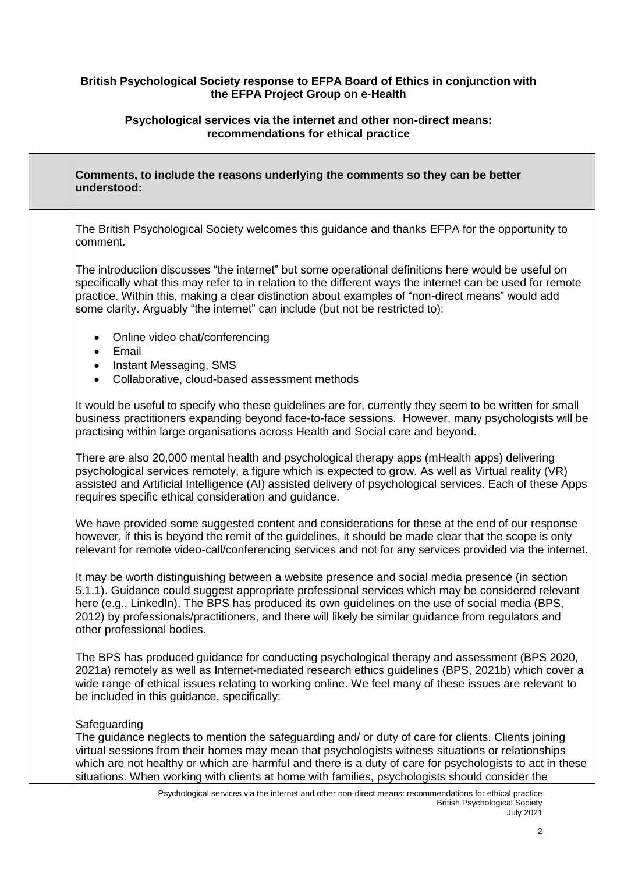# **British Psychological Society response to EFPA Board of Ethics in conjunction with the EFPA Project Group on e-Health**

## **Psychological services via the internet and other non-direct means: recommendations for ethical practice**

Г

| Comments, to include the reasons underlying the comments so they can be better<br>understood:                                                                                                                                                                                                                                                                                                                                                |
|----------------------------------------------------------------------------------------------------------------------------------------------------------------------------------------------------------------------------------------------------------------------------------------------------------------------------------------------------------------------------------------------------------------------------------------------|
| The British Psychological Society welcomes this guidance and thanks EFPA for the opportunity to<br>comment.                                                                                                                                                                                                                                                                                                                                  |
| The introduction discusses "the internet" but some operational definitions here would be useful on<br>specifically what this may refer to in relation to the different ways the internet can be used for remote<br>practice. Within this, making a clear distinction about examples of "non-direct means" would add<br>some clarity. Arguably "the internet" can include (but not be restricted to):                                         |
| Online video chat/conferencing<br>$\bullet$<br>Email<br>$\bullet$                                                                                                                                                                                                                                                                                                                                                                            |
| Instant Messaging, SMS<br>$\bullet$<br>Collaborative, cloud-based assessment methods<br>$\bullet$                                                                                                                                                                                                                                                                                                                                            |
| It would be useful to specify who these guidelines are for, currently they seem to be written for small<br>business practitioners expanding beyond face-to-face sessions. However, many psychologists will be<br>practising within large organisations across Health and Social care and beyond.                                                                                                                                             |
| There are also 20,000 mental health and psychological therapy apps (mHealth apps) delivering<br>psychological services remotely, a figure which is expected to grow. As well as Virtual reality (VR)<br>assisted and Artificial Intelligence (AI) assisted delivery of psychological services. Each of these Apps<br>requires specific ethical consideration and guidance.                                                                   |
| We have provided some suggested content and considerations for these at the end of our response<br>however, if this is beyond the remit of the guidelines, it should be made clear that the scope is only<br>relevant for remote video-call/conferencing services and not for any services provided via the internet.                                                                                                                        |
| It may be worth distinguishing between a website presence and social media presence (in section<br>5.1.1). Guidance could suggest appropriate professional services which may be considered relevant<br>here (e.g., LinkedIn). The BPS has produced its own guidelines on the use of social media (BPS,<br>2012) by professionals/practitioners, and there will likely be similar guidance from regulators and<br>other professional bodies. |
| The BPS has produced guidance for conducting psychological therapy and assessment (BPS 2020,<br>2021a) remotely as well as Internet-mediated research ethics guidelines (BPS, 2021b) which cover a<br>wide range of ethical issues relating to working online. We feel many of these issues are relevant to<br>be included in this guidance, specifically:                                                                                   |
| Safeguarding<br>The guidance neglects to mention the safeguarding and/ or duty of care for clients. Clients joining<br>virtual sessions from their homes may mean that psychologists witness situations or relationships<br>which are not healthy or which are harmful and there is a duty of care for psychologists to act in these<br>situations. When working with clients at home with families, psychologists should consider the       |
| Psychological services via the internet and other non-direct means: recommendations for ethical practice                                                                                                                                                                                                                                                                                                                                     |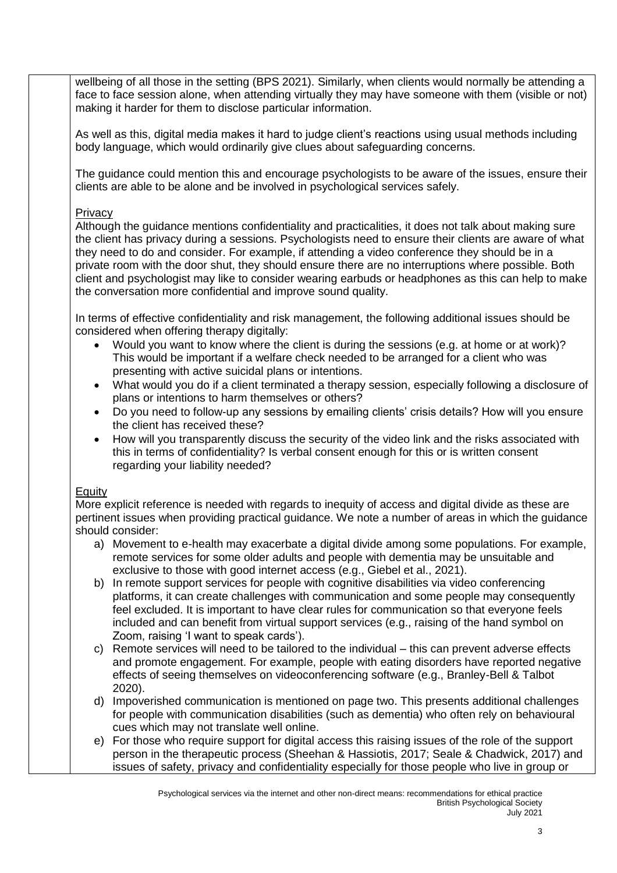wellbeing of all those in the setting (BPS 2021). Similarly, when clients would normally be attending a face to face session alone, when attending virtually they may have someone with them (visible or not) making it harder for them to disclose particular information.

As well as this, digital media makes it hard to judge client's reactions using usual methods including body language, which would ordinarily give clues about safeguarding concerns.

The guidance could mention this and encourage psychologists to be aware of the issues, ensure their clients are able to be alone and be involved in psychological services safely.

## **Privacy**

Although the guidance mentions confidentiality and practicalities, it does not talk about making sure the client has privacy during a sessions. Psychologists need to ensure their clients are aware of what they need to do and consider. For example, if attending a video conference they should be in a private room with the door shut, they should ensure there are no interruptions where possible. Both client and psychologist may like to consider wearing earbuds or headphones as this can help to make the conversation more confidential and improve sound quality.

In terms of effective confidentiality and risk management, the following additional issues should be considered when offering therapy digitally:

- Would you want to know where the client is during the sessions (e.g. at home or at work)? This would be important if a welfare check needed to be arranged for a client who was presenting with active suicidal plans or intentions.
- What would you do if a client terminated a therapy session, especially following a disclosure of plans or intentions to harm themselves or others?
- Do you need to follow-up any sessions by emailing clients' crisis details? How will you ensure the client has received these?
- How will you transparently discuss the security of the video link and the risks associated with this in terms of confidentiality? Is verbal consent enough for this or is written consent regarding your liability needed?

## Equity

More explicit reference is needed with regards to inequity of access and digital divide as these are pertinent issues when providing practical guidance. We note a number of areas in which the guidance should consider:

- a) Movement to e-health may exacerbate a digital divide among some populations. For example, remote services for some older adults and people with dementia may be unsuitable and exclusive to those with good internet access (e.g., Giebel et al., 2021).
- b) In remote support services for people with cognitive disabilities via video conferencing platforms, it can create challenges with communication and some people may consequently feel excluded. It is important to have clear rules for communication so that everyone feels included and can benefit from virtual support services (e.g., raising of the hand symbol on Zoom, raising 'I want to speak cards').
- c) Remote services will need to be tailored to the individual this can prevent adverse effects and promote engagement. For example, people with eating disorders have reported negative effects of seeing themselves on videoconferencing software (e.g., Branley-Bell & Talbot 2020).
- d) Impoverished communication is mentioned on page two. This presents additional challenges for people with communication disabilities (such as dementia) who often rely on behavioural cues which may not translate well online.
- e) For those who require support for digital access this raising issues of the role of the support person in the therapeutic process (Sheehan & Hassiotis, 2017; Seale & Chadwick, 2017) and issues of safety, privacy and confidentiality especially for those people who live in group or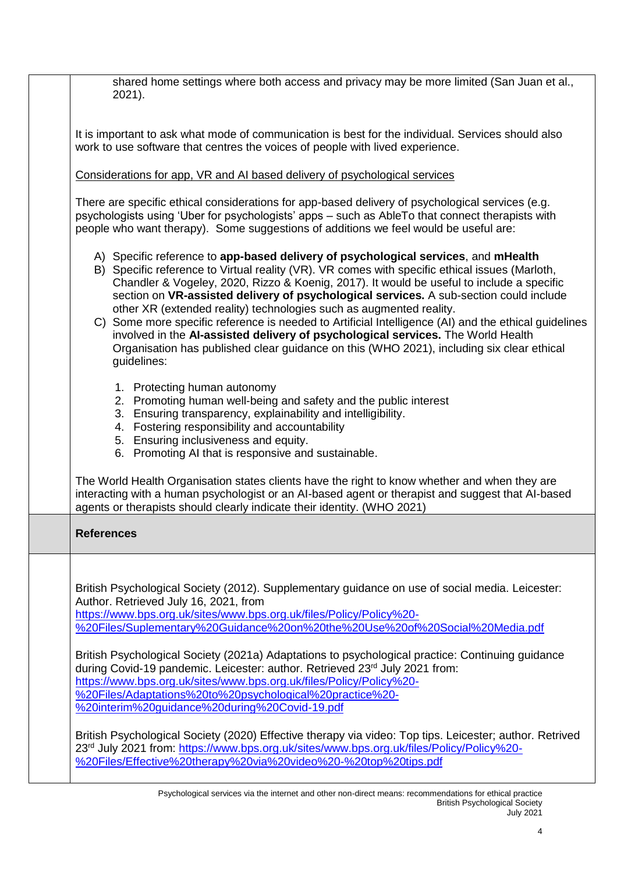| shared home settings where both access and privacy may be more limited (San Juan et al.,<br>2021).                                                                                                                                                                                                                                                                                                                                                                                                                                                                                                                                                                                                                                                         |
|------------------------------------------------------------------------------------------------------------------------------------------------------------------------------------------------------------------------------------------------------------------------------------------------------------------------------------------------------------------------------------------------------------------------------------------------------------------------------------------------------------------------------------------------------------------------------------------------------------------------------------------------------------------------------------------------------------------------------------------------------------|
| It is important to ask what mode of communication is best for the individual. Services should also<br>work to use software that centres the voices of people with lived experience.                                                                                                                                                                                                                                                                                                                                                                                                                                                                                                                                                                        |
| Considerations for app. VR and AI based delivery of psychological services                                                                                                                                                                                                                                                                                                                                                                                                                                                                                                                                                                                                                                                                                 |
| There are specific ethical considerations for app-based delivery of psychological services (e.g.<br>psychologists using 'Uber for psychologists' apps - such as AbleTo that connect therapists with<br>people who want therapy). Some suggestions of additions we feel would be useful are:                                                                                                                                                                                                                                                                                                                                                                                                                                                                |
| A) Specific reference to app-based delivery of psychological services, and mHealth<br>B) Specific reference to Virtual reality (VR). VR comes with specific ethical issues (Marloth,<br>Chandler & Vogeley, 2020, Rizzo & Koenig, 2017). It would be useful to include a specific<br>section on VR-assisted delivery of psychological services. A sub-section could include<br>other XR (extended reality) technologies such as augmented reality.<br>C) Some more specific reference is needed to Artificial Intelligence (AI) and the ethical guidelines<br>involved in the AI-assisted delivery of psychological services. The World Health<br>Organisation has published clear guidance on this (WHO 2021), including six clear ethical<br>guidelines: |
| 1. Protecting human autonomy<br>2. Promoting human well-being and safety and the public interest<br>3. Ensuring transparency, explainability and intelligibility.<br>4. Fostering responsibility and accountability<br>5. Ensuring inclusiveness and equity.<br>6. Promoting AI that is responsive and sustainable.                                                                                                                                                                                                                                                                                                                                                                                                                                        |
| The World Health Organisation states clients have the right to know whether and when they are<br>interacting with a human psychologist or an AI-based agent or therapist and suggest that AI-based<br>agents or therapists should clearly indicate their identity. (WHO 2021)                                                                                                                                                                                                                                                                                                                                                                                                                                                                              |
| <b>References</b>                                                                                                                                                                                                                                                                                                                                                                                                                                                                                                                                                                                                                                                                                                                                          |
| British Psychological Society (2012). Supplementary guidance on use of social media. Leicester:<br>Author. Retrieved July 16, 2021, from<br>https://www.bps.org.uk/sites/www.bps.org.uk/files/Policy/Policy%20-<br>%20Files/Suplementary%20Guidance%20on%20the%20Use%20of%20Social%20Media.pdf                                                                                                                                                                                                                                                                                                                                                                                                                                                             |
| British Psychological Society (2021a) Adaptations to psychological practice: Continuing guidance<br>during Covid-19 pandemic. Leicester: author. Retrieved 23 <sup>rd</sup> July 2021 from:<br>https://www.bps.org.uk/sites/www.bps.org.uk/files/Policy/Policy%20-<br>%20Files/Adaptations%20to%20psychological%20practice%20-<br>%20interim%20guidance%20during%20Covid-19.pdf                                                                                                                                                                                                                                                                                                                                                                            |
| British Psychological Society (2020) Effective therapy via video: Top tips. Leicester; author. Retrived<br>23rd July 2021 from: https://www.bps.org.uk/sites/www.bps.org.uk/files/Policy/Policy%20-<br>%20Files/Effective%20therapy%20via%20video%20-%20top%20tips.pdf                                                                                                                                                                                                                                                                                                                                                                                                                                                                                     |